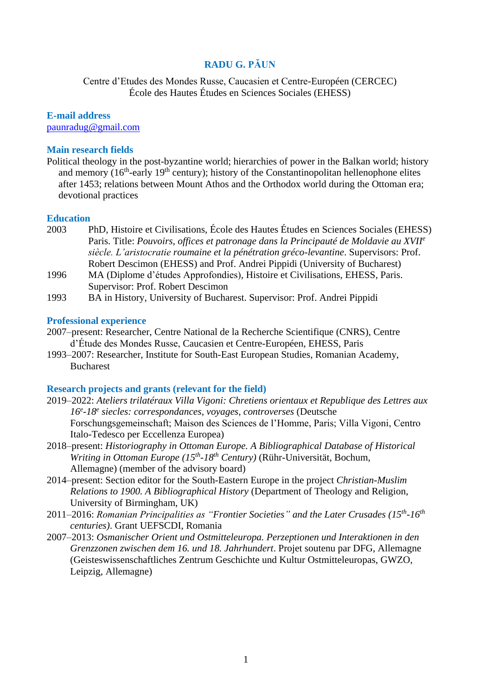# **RADU G. PĂUN**

Centre d'Etudes des Mondes Russe, Caucasien et Centre-Européen (CERCEC) École des Hautes Études en Sciences Sociales (EHESS)

**E-mail address** [paunradug@gmail.com](mailto:paunradug@gmail.com)

#### **Main research fields**

Political theology in the post-byzantine world; hierarchies of power in the Balkan world; history and memory  $(16<sup>th</sup>-early 19<sup>th</sup> century)$ ; history of the Constantinopolitan hellenophone elites after 1453; relations between Mount Athos and the Orthodox world during the Ottoman era; devotional practices

#### **Education**

- 2003 PhD, Histoire et Civilisations, École des Hautes Études en Sciences Sociales (EHESS) Paris. Title: *Pouvoirs, offices et patronage dans la Principauté de Moldavie au XVII<sup>e</sup> siècle. L'aristocratie roumaine et la pénétration gréco-levantine*. Supervisors: Prof. Robert Descimon (EHESS) and Prof. Andrei Pippidi (University of Bucharest)
- 1996 MA (Diplome d'études Approfondies), Histoire et Civilisations, EHESS, Paris. Supervisor: Prof. Robert Descimon
- 1993 BA in History, University of Bucharest. Supervisor: Prof. Andrei Pippidi

### **Professional experience**

- 2007–present: Researcher, Centre National de la Recherche Scientifique (CNRS), Centre d'Étude des Mondes Russe, Caucasien et Centre-Européen, EHESS, Paris
- 1993–2007: Researcher, Institute for South-East European Studies, Romanian Academy, Bucharest

#### **Research projects and grants (relevant for the field)**

- 2019–2022: *Ateliers trilatéraux Villa Vigoni: Chretiens orientaux et Republique des Lettres aux 16<sup>e</sup> -18<sup>e</sup> siecles: correspondances, voyages, controverses* (Deutsche Forschungsgemeinschaft; Maison des Sciences de l'Homme, Paris; Villa Vigoni, Centro Italo-Tedesco per Eccellenza Europea)
- 2018–present: *Historiography in Ottoman Europe. A Bibliographical Database of Historical Writing in Ottoman Europe (15th -18th Century)* (Rühr-Universität, Bochum, Allemagne) (member of the advisory board)
- 2014–present: Section editor for the South-Eastern Europe in the project *Christian-Muslim Relations to 1900. A Bibliographical History* (Department of Theology and Religion, University of Birmingham, UK)
- 2011–2016: *Romanian Principalities as "Frontier Societies" and the Later Crusades (15th -16th centuries)*. Grant UEFSCDI, Romania
- 2007–2013: *Osmanischer Orient und Ostmitteleuropa. Perzeptionen und Interaktionen in den Grenzzonen zwischen dem 16. und 18. Jahrhundert*. Projet soutenu par DFG, Allemagne (Geisteswissenschaftliches Zentrum Geschichte und Kultur Ostmitteleuropas, GWZO, Leipzig, Allemagne)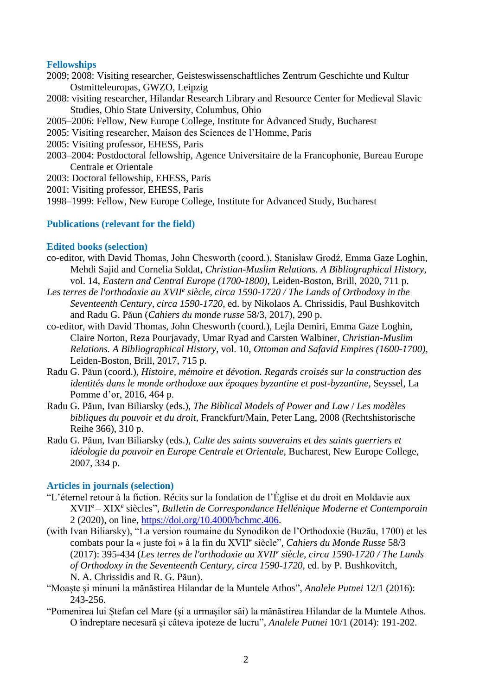## **Fellowships**

- 2009; 2008: Visiting researcher, Geisteswissenschaftliches Zentrum Geschichte und Kultur Ostmitteleuropas, GWZO, Leipzig
- 2008: visiting researcher, Hilandar Research Library and Resource Center for Medieval Slavic Studies, Ohio State University, Columbus, Ohio
- 2005–2006: Fellow, New Europe College, Institute for Advanced Study, Bucharest
- 2005: Visiting researcher, Maison des Sciences de l'Homme, Paris
- 2005: Visiting professor, EHESS, Paris
- 2003–2004: Postdoctoral fellowship, Agence Universitaire de la Francophonie, Bureau Europe Centrale et Orientale
- 2003: Doctoral fellowship, EHESS, Paris
- 2001: Visiting professor, EHESS, Paris
- 1998–1999: Fellow, New Europe College, Institute for Advanced Study, Bucharest

## **Publications (relevant for the field)**

### **Edited books (selection)**

- co-editor, with David Thomas, John Chesworth (coord.), Stanisław Grodź, Emma Gaze Loghin, Mehdi Sajid and Cornelia Soldat, *Christian-Muslim Relations. A Bibliographical History*, vol. 14, *Eastern and Central Europe (1700-1800)*, Leiden-Boston, Brill, 2020, 711 p.
- Les terres de l'orthodoxie au XVII<sup>e</sup> siècle, circa 1590-1720 / The Lands of Orthodoxy in the *Seventeenth Century, circa 1590-1720*, ed. by Nikolaos A. Chrissidis, Paul Bushkovitch and Radu G. Păun (*Cahiers du monde russe* 58/3, 2017), 290 p.
- co-editor, with David Thomas, John Chesworth (coord.), Lejla Demiri, Emma Gaze Loghin, Claire Norton, Reza Pourjavady, Umar Ryad and Carsten Walbiner, *Christian-Muslim Relations. A Bibliographical History*, vol. 10, *Ottoman and Safavid Empires (1600-1700)*, Leiden-Boston, Brill, 2017, 715 p.
- Radu G. Păun (coord.), *Histoire, mémoire et dévotion. Regards croisés sur la construction des identités dans le monde orthodoxe aux époques byzantine et post-byzantine*, Seyssel, La Pomme d'or, 2016, 464 p.
- Radu G. Păun, Ivan Biliarsky (eds.), *The Biblical Models of Power and Law* / *Les modèles bibliques du pouvoir et du droit*, Franckfurt/Main, Peter Lang, 2008 (Rechtshistorische Reihe 366), 310 p.
- Radu G. Păun, Ivan Biliarsky (eds.), *Culte des saints souverains et des saints guerriers et idéologie du pouvoir en Europe Centrale et Orientale*, Bucharest, New Europe College, 2007, 334 p.

#### **Articles in journals (selection)**

- "L'éternel retour à la fiction. Récits sur la fondation de l'Église et du droit en Moldavie aux XVII<sup>e</sup> – XIX<sup>e</sup> siècles", *Bulletin de Correspondance Hellénique Moderne et Contemporain* 2 (2020), on line, [https://doi.org/10.4000/bchmc.406.](https://doi.org/10.4000/bchmc.406)
- (with Ivan Biliarsky), "La version roumaine du Synodikon de l'Orthodoxie (Buzău, 1700) et les combats pour la « juste foi » à la fin du XVII<sup>e</sup> siècle", *Cahiers du Monde Russe* 58/3 (2017): 395-434 (*Les terres de l'orthodoxie au XVII<sup>e</sup> siècle, circa 1590-1720 / The Lands of Orthodoxy in the Seventeenth Century, circa 1590-1720*, ed. by P. Bushkovitch, N. A. Chrissidis and R. G. Păun).
- "Moaște și minuni la mănăstirea Hilandar de la Muntele Athos", *Analele Putnei* 12/1 (2016): 243-256.
- "Pomenirea lui Ştefan cel Mare (și a urmașilor săi) la mănăstirea Hilandar de la Muntele Athos. O îndreptare necesară și câteva ipoteze de lucru", *Analele Putnei* 10/1 (2014): 191-202.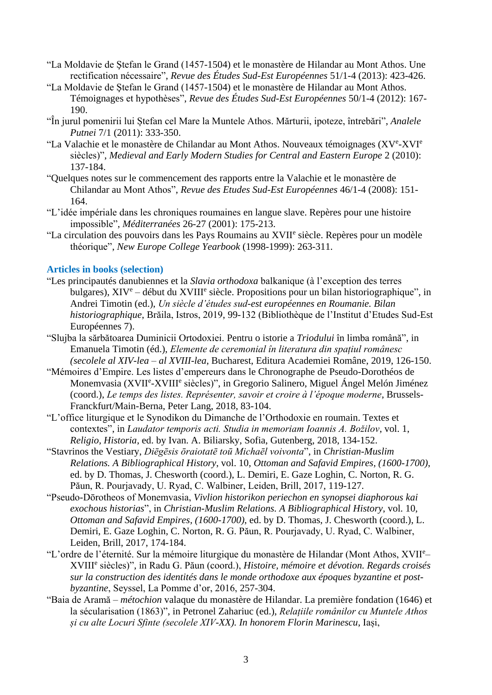- "La Moldavie de Ştefan le Grand (1457-1504) et le monastère de Hilandar au Mont Athos. Une rectification nécessaire", *Revue des Études Sud-Est Européennes* 51/1-4 (2013): 423-426.
- "La Moldavie de Ştefan le Grand (1457-1504) et le monastère de Hilandar au Mont Athos. Témoignages et hypothèses", *Revue des Études Sud-Est Européennes* 50/1-4 (2012): 167- 190.
- "În jurul pomenirii lui Ștefan cel Mare la Muntele Athos. Mărturii, ipoteze, întrebări", *Analele Putnei* 7/1 (2011): 333-350.
- "La Valachie et le monastère de Chilandar au Mont Athos. Nouveaux témoignages (XVe-XVIe siècles)", *Medieval and Early Modern Studies for Central and Eastern Europe* 2 (2010): 137-184.
- "Quelques notes sur le commencement des rapports entre la Valachie et le monastère de Chilandar au Mont Athos", *Revue des Etudes Sud-Est Européennes* 46/1-4 (2008): 151- 164.
- "L'idée impériale dans les chroniques roumaines en langue slave. Repères pour une histoire impossible", *Méditerranées* 26-27 (2001): 175-213.
- "La circulation des pouvoirs dans les Pays Roumains au XVII<sup>e</sup> siècle. Repères pour un modèle théorique", *New Europe College Yearbook* (1998-1999): 263-311.

## **Articles in books (selection)**

- "Les principautés danubiennes et la *Slavia orthodoxa* balkanique (à l'exception des terres bulgares), XIV<sup>e</sup> – début du XVIII<sup>e</sup> siècle. Propositions pour un bilan historiographique", in Andrei Timotin (ed.), *Un siècle d'études sud-est européennes en Roumanie. Bilan historiographique*, Brăila, Istros, 2019, 99-132 (Bibliothèque de l'Institut d'Etudes Sud-Est Européennes 7).
- "Slujba la sărbătoarea Duminicii Ortodoxiei. Pentru o istorie a *Triodului* în limba română", in Emanuela Timotin (éd.), *Elemente de ceremonial în literatura din spațiul românesc (secolele al XIV-lea – al XVIII-lea*, Bucharest, Editura Academiei Române, 2019, 126-150.
- "Mémoires d'Empire. Les listes d'empereurs dans le Chronographe de Pseudo-Dorothéos de Monemvasia (XVII<sup>e</sup>-XVIII<sup>e</sup> siècles)", in Gregorio Salinero, Miguel Ángel Melón Jiménez (coord.), *Le temps des listes. Représenter, savoir et croire à l'époque moderne*, Brussels-Franckfurt/Main-Berna, Peter Lang, 2018, 83-104.
- "L'office liturgique et le Synodikon du Dimanche de l'Orthodoxie en roumain. Textes et contextes", in *Laudator temporis acti. Studia in memoriam Ioannis A. Božilov*, vol. 1, *Religio, Historia*, ed. by Ivan. A. Biliarsky, Sofia, Gutenberg, 2018, 134-152.
- "Stavrinos the Vestiary, *Diēgēsis ōraiotatē toū Michaēl voivonta*", in *Christian-Muslim Relations. A Bibliographical History*, vol. 10, *Ottoman and Safavid Empires, (1600-1700)*, ed. by D. Thomas, J. Chesworth (coord.), L. Demiri, E. Gaze Loghin, C. Norton, R. G. Păun, R. Pourjavady, U. Ryad, C. Walbiner, Leiden, Brill, 2017, 119-127.
- "Pseudo-Dōrotheos of Monemvasia, *Vivlion historikon periechon en synopsei diaphorous kai exochous historias*", in *Christian-Muslim Relations. A Bibliographical History*, vol. 10, *Ottoman and Safavid Empires, (1600-1700)*, ed. by D. Thomas, J. Chesworth (coord.), L. Demiri, E. Gaze Loghin, C. Norton, R. G. Păun, R. Pourjavady, U. Ryad, C. Walbiner, Leiden, Brill, 2017, 174-184.
- "L'ordre de l'éternité. Sur la mémoire liturgique du monastère de Hilandar (Mont Athos, XVII<sup>e</sup> XVIII<sup>e</sup> siècles)", in Radu G. Păun (coord.), *Histoire, mémoire et dévotion. Regards croisés sur la construction des identités dans le monde orthodoxe aux époques byzantine et postbyzantine*, Seyssel, La Pomme d'or, 2016, 257-304.
- "Baia de Aramă *métochion* valaque du monastère de Hilandar. La première fondation (1646) et la sécularisation (1863)", in Petronel Zahariuc (ed.), *Relațiile românilor cu Muntele Athos și cu alte Locuri Sfinte (secolele XIV-XX). In honorem Florin Marinescu*, Iași,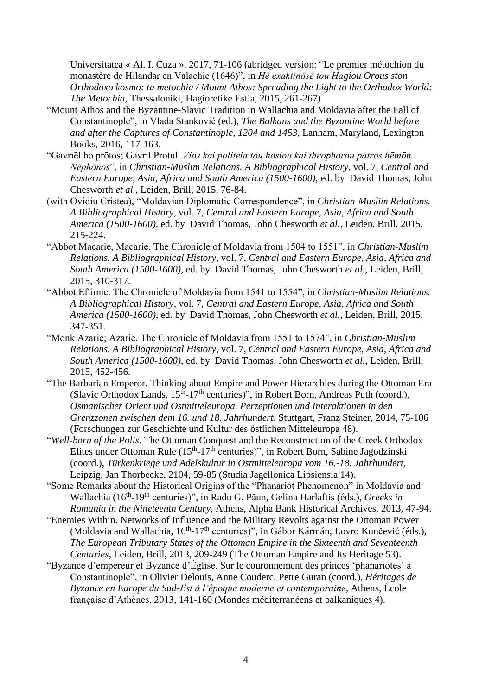Universitatea « Al. I. Cuza », 2017, 71-106 (abridged version: "Le premier métochion du monastère de Hilandar en Valachie (1646)", in *Hē exaktinōsē tou Hagiou Orous ston Orthodoxo kosmo: ta metochia / Mount Athos: Spreading the Light to the Orthodox World: The Metochia*, Thessaloniki, Hagioretike Estia, 2015, 261-267).

- "Mount Athos and the Byzantine-Slavic Tradition in Wallachia and Moldavia after the Fall of Constantinople", in Vlada Stanković (ed.), *The Balkans and the Byzantine World before and after the Captures of Constantinople, 1204 and 1453*, Lanham, Maryland, Lexington Books, 2016, 117-163.
- "Gavriēl ho prōtos; Gavril Protul. *Vios kai politeia tou hosiou kai theophorou patros hēmōn Nēphōnos*", in *Christian-Muslim Relations. A Bibliographical History*, vol. 7, *Central and Eastern Europe, Asia, Africa and South America (1500-1600)*, ed. by David Thomas, John Chesworth *et al.*, Leiden, Brill, 2015, 76-84.
- (with Ovidiu Cristea), "Moldavian Diplomatic Correspondence", in *Christian-Muslim Relations. A Bibliographical History*, vol. 7, *Central and Eastern Europe, Asia, Africa and South America (1500-1600)*, ed. by David Thomas, John Chesworth *et al.*, Leiden, Brill, 2015, 215-224.
- "Abbot Macarie, Macarie. The Chronicle of Moldavia from 1504 to 1551", in *Christian-Muslim Relations. A Bibliographical History*, vol. 7, *Central and Eastern Europe, Asia, Africa and South America (1500-1600)*, ed. by David Thomas, John Chesworth *et al.*, Leiden, Brill, 2015, 310-317.
- "Abbot Eftimie. The Chronicle of Moldavia from 1541 to 1554", in *Christian-Muslim Relations. A Bibliographical History*, vol. 7, *Central and Eastern Europe, Asia, Africa and South America (1500-1600)*, ed. by David Thomas, John Chesworth *et al.*, Leiden, Brill, 2015, 347-351.
- "Monk Azarie; Azarie. The Chronicle of Moldavia from 1551 to 1574", in *Christian-Muslim Relations. A Bibliographical History*, vol. 7, *Central and Eastern Europe, Asia, Africa and South America (1500-1600)*, ed. by David Thomas, John Chesworth *et al.*, Leiden, Brill, 2015, 452-456.
- "The Barbarian Emperor. Thinking about Empire and Power Hierarchies during the Ottoman Era (Slavic Orthodox Lands,  $15<sup>th</sup> - 17<sup>th</sup>$  centuries)", in Robert Born, Andreas Puth (coord.), *Osmanischer Orient und Ostmitteleuropa. Perzeptionen und Interaktionen in den Grenzzonen zwischen dem 16. und 18. Jahrhundert*, Stuttgart, Franz Steiner, 2014, 75-106 (Forschungen zur Geschichte und Kultur des östlichen Mitteleuropa 48).
- "*Well-born of the Polis*. The Ottoman Conquest and the Reconstruction of the Greek Orthodox Elites under Ottoman Rule  $(15<sup>th</sup>-17<sup>th</sup>$  centuries)", in Robert Born, Sabine Jagodzinski (coord.), *Türkenkriege und Adelskultur in Ostmitteleuropa vom 16.-18. Jahrhundert*, Leipzig, Jan Thorbecke, 2104, 59-85 (Studia Jagellonica Lipsiensia 14).
- "Some Remarks about the Historical Origins of the "Phanariot Phenomenon" in Moldavia and Wallachia (16<sup>th</sup>-19<sup>th</sup> centuries)", in Radu G. Păun, Gelina Harlaftis (éds.), *Greeks in Romania in the Nineteenth Century*, Athens, Alpha Bank Historical Archives, 2013, 47-94.
- "Enemies Within. Networks of Influence and the Military Revolts against the Ottoman Power (Moldavia and Wallachia, 16<sup>th</sup>-17<sup>th</sup> centuries)", in Gábor Kármán, Lovro Kunčević (éds.), *The European Tributary States of the Ottoman Empire in the Sixteenth and Seventeenth Centuries*, Leiden, Brill, 2013, 209-249 (The Ottoman Empire and Its Heritage 53).
- "Byzance d'empereur et Byzance d'Église. Sur le couronnement des princes 'phanariotes' à Constantinople", in Olivier Delouis, Anne Couderc, Petre Guran (coord.), *Héritages de Byzance en Europe du Sud-Est à l'époque moderne et contemporaine*, Athens, École française d'Athènes, 2013, 141-160 (Mondes méditerranéens et balkaniques 4).